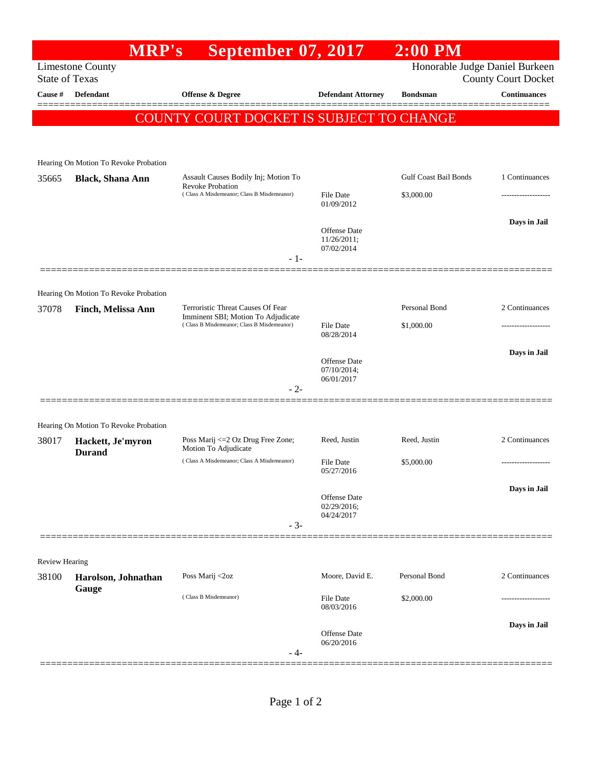|                                                  | <b>MRP's</b>                                                       | <b>September 07, 2017</b>                                                                                     |                                                  | $2:00$ PM                    |                     |
|--------------------------------------------------|--------------------------------------------------------------------|---------------------------------------------------------------------------------------------------------------|--------------------------------------------------|------------------------------|---------------------|
| <b>Limestone County</b><br><b>State of Texas</b> | Honorable Judge Daniel Burkeen                                     | County Court Docket                                                                                           |                                                  |                              |                     |
| Cause #                                          | <b>Defendant</b>                                                   | <b>Offense &amp; Degree</b>                                                                                   | <b>Defendant Attorney</b>                        | <b>Bondsman</b>              | <b>Continuances</b> |
|                                                  |                                                                    | COUNTY COURT DOCKET IS SUBJECT TO CHANGE                                                                      |                                                  |                              |                     |
|                                                  |                                                                    |                                                                                                               |                                                  |                              |                     |
|                                                  | Hearing On Motion To Revoke Probation                              |                                                                                                               |                                                  |                              |                     |
| 35665                                            | <b>Black, Shana Ann</b>                                            | Assault Causes Bodily Inj; Motion To<br><b>Revoke Probation</b><br>(Class A Misdemeanor; Class B Misdemeanor) |                                                  | <b>Gulf Coast Bail Bonds</b> | 1 Continuances      |
|                                                  |                                                                    |                                                                                                               | <b>File Date</b><br>01/09/2012                   | \$3,000.00                   |                     |
|                                                  |                                                                    |                                                                                                               |                                                  |                              | Days in Jail        |
|                                                  |                                                                    |                                                                                                               | <b>Offense Date</b><br>11/26/2011;<br>07/02/2014 |                              |                     |
|                                                  |                                                                    | $-1-$                                                                                                         |                                                  |                              |                     |
|                                                  |                                                                    |                                                                                                               |                                                  |                              |                     |
| 37078                                            | Hearing On Motion To Revoke Probation<br><b>Finch, Melissa Ann</b> | Terroristic Threat Causes Of Fear                                                                             |                                                  | Personal Bond                | 2 Continuances      |
|                                                  |                                                                    | Imminent SBI; Motion To Adjudicate<br>(Class B Misdemeanor; Class B Misdemeanor)                              | <b>File Date</b><br>08/28/2014                   | \$1,000.00                   | .                   |
|                                                  |                                                                    |                                                                                                               |                                                  |                              | Days in Jail        |
|                                                  |                                                                    |                                                                                                               | <b>Offense Date</b><br>07/10/2014;<br>06/01/2017 |                              |                     |
|                                                  |                                                                    | $-2-$                                                                                                         |                                                  |                              |                     |
|                                                  | Hearing On Motion To Revoke Probation                              |                                                                                                               |                                                  |                              |                     |
| 38017                                            | Hackett, Je'myron                                                  | Poss Marij <= 2 Oz Drug Free Zone;                                                                            | Reed, Justin                                     | Reed, Justin                 | 2 Continuances      |
|                                                  | <b>Durand</b>                                                      | Motion To Adjudicate<br>(Class A Misdemeanor; Class A Misdemeanor)                                            | <b>File Date</b><br>05/27/2016                   | \$5,000.00                   | ------------------  |
|                                                  |                                                                    |                                                                                                               |                                                  |                              | Days in Jail        |
|                                                  |                                                                    |                                                                                                               | Offense Date<br>02/29/2016;<br>04/24/2017        |                              |                     |
|                                                  |                                                                    | $-3-$                                                                                                         |                                                  |                              |                     |
|                                                  |                                                                    |                                                                                                               |                                                  |                              |                     |
| Review Hearing<br>38100                          | Harolson, Johnathan<br>Gauge                                       | Poss Marij <2oz                                                                                               | Moore, David E.                                  | Personal Bond                | 2 Continuances      |
|                                                  |                                                                    | (Class B Misdemeanor)                                                                                         | File Date                                        | \$2,000.00                   |                     |
|                                                  |                                                                    |                                                                                                               | 08/03/2016                                       |                              |                     |
|                                                  |                                                                    |                                                                                                               | Offense Date<br>06/20/2016                       |                              | Days in Jail        |
|                                                  |                                                                    | - 4-                                                                                                          |                                                  |                              |                     |